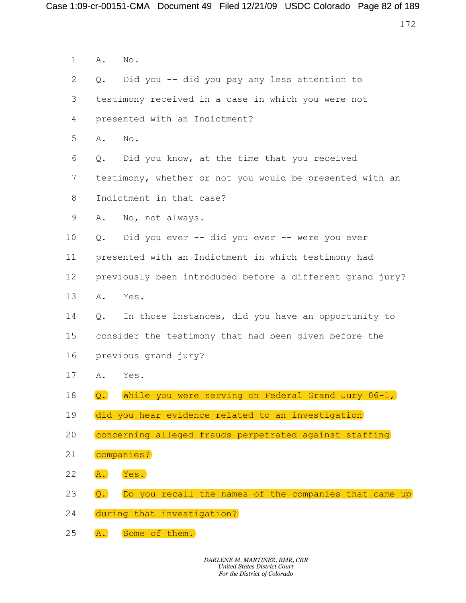|                           |                  | e 1:09-cr-00151-CMA Document 49 Filed 12/21/09 USDC Colorado Page 82 of 189 |     |
|---------------------------|------------------|-----------------------------------------------------------------------------|-----|
|                           |                  |                                                                             | 172 |
| $\mathbf{1}$              | Α.               | No.                                                                         |     |
| $\mathbf{2}^{\mathsf{I}}$ | $Q$ .            | Did you -- did you pay any less attention to                                |     |
| 3                         |                  | testimony received in a case in which you were not                          |     |
| 4                         |                  | presented with an Indictment?                                               |     |
| 5                         | Α.               | No.                                                                         |     |
| 6                         | $Q$ .            | Did you know, at the time that you received                                 |     |
| $7\phantom{.0}$           |                  | testimony, whether or not you would be presented with an                    |     |
| 8                         |                  | Indictment in that case?                                                    |     |
| 9                         | Α.               | No, not always.                                                             |     |
| 10                        | $Q$ .            | Did you ever -- did you ever -- were you ever                               |     |
| 11                        |                  | presented with an Indictment in which testimony had                         |     |
| 12                        |                  | previously been introduced before a different grand jury?                   |     |
| 13                        | Α.               | Yes.                                                                        |     |
| 14                        | $Q$ .            | In those instances, did you have an opportunity to                          |     |
| 15                        |                  | consider the testimony that had been given before the                       |     |
| 16                        |                  | previous grand jury?                                                        |     |
| 17                        | Α.               | Yes.                                                                        |     |
| 18                        | $\overline{Q}$ . | While you were serving on Federal Grand Jury 06-1,                          |     |
| 19                        |                  | did you hear evidence related to an investigation                           |     |
| 20                        |                  | concerning alleged frauds perpetrated against staffing                      |     |
| 21                        |                  | companies?                                                                  |     |
| 22                        | A.               | Yes.                                                                        |     |
| 23                        | Q.               | Do you recall the names of the companies that came up                       |     |
| 24                        |                  | during that investigation?                                                  |     |
| 25                        | A.               | Some of them.                                                               |     |
|                           |                  | DARLENE M. MARTINEZ, RMR, CRR                                               |     |
|                           |                  | <b>United States District Court</b><br>For the District of Colorado         |     |
|                           |                  |                                                                             |     |